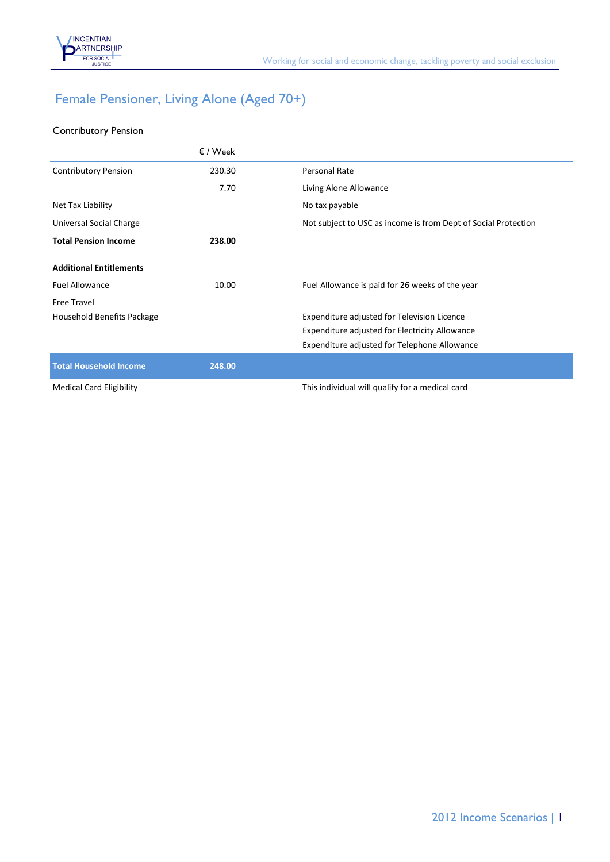

## Female Pensioner, Living Alone (Aged 70+)

## Contributory Pension

|                                 | $\epsilon$ / Week |                                                                |
|---------------------------------|-------------------|----------------------------------------------------------------|
| <b>Contributory Pension</b>     | 230.30            | Personal Rate                                                  |
|                                 | 7.70              | Living Alone Allowance                                         |
| Net Tax Liability               |                   | No tax payable                                                 |
| Universal Social Charge         |                   | Not subject to USC as income is from Dept of Social Protection |
| <b>Total Pension Income</b>     | 238.00            |                                                                |
| <b>Additional Entitlements</b>  |                   |                                                                |
| <b>Fuel Allowance</b>           | 10.00             | Fuel Allowance is paid for 26 weeks of the year                |
| <b>Free Travel</b>              |                   |                                                                |
| Household Benefits Package      |                   | Expenditure adjusted for Television Licence                    |
|                                 |                   | Expenditure adjusted for Electricity Allowance                 |
|                                 |                   | Expenditure adjusted for Telephone Allowance                   |
| <b>Total Household Income</b>   | 248.00            |                                                                |
| <b>Medical Card Eligibility</b> |                   | This individual will qualify for a medical card                |